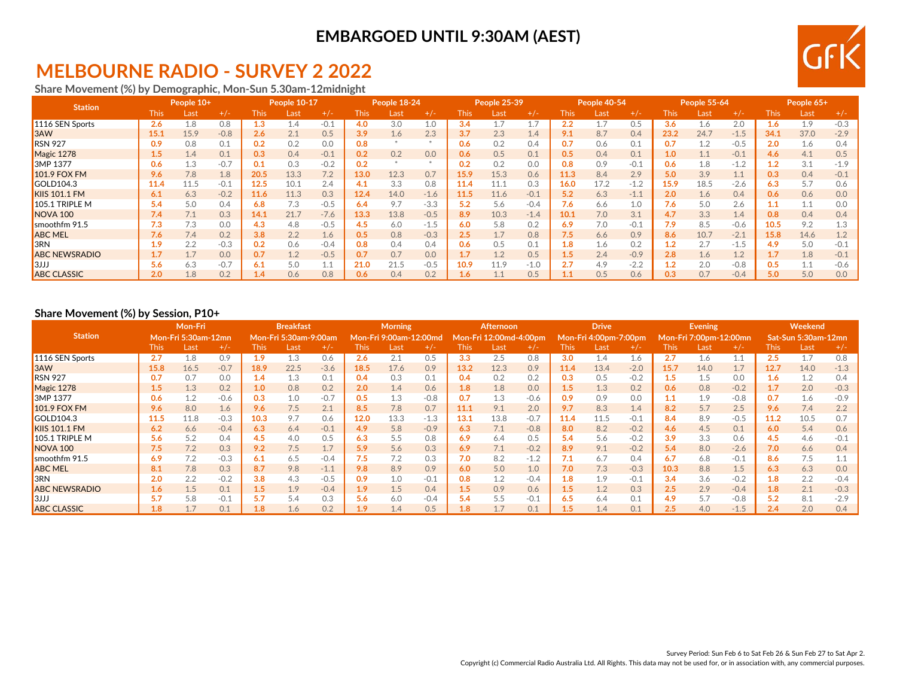# **MELBOURNE RADIO - SURVEY 2 2022**

**Share Movement (%) by Demographic, Mon-Sun 5.30am-12midnight**

| <b>Station</b>       |             | People 10+ |        |      | People 10-17 |        |       | People 18-24 |        |               | People 25-39 |        |             | People 40-54 |        |       | People 55-64  |        |      | People 65+ |        |
|----------------------|-------------|------------|--------|------|--------------|--------|-------|--------------|--------|---------------|--------------|--------|-------------|--------------|--------|-------|---------------|--------|------|------------|--------|
|                      | <b>This</b> | Last       | $+/-$  | This | Last         | $+/-$  | This. | Last         | $+/-$  | This l        | Last         | $+/-$  | <b>This</b> | Last         | $+/-$  | This. | Last          | +/-    | This | Last       | $+/-$  |
| 1116 SEN Sports      | 2.6         | 1.8        | 0.8    | 1.3  | 1.4          | $-0.1$ | 4.0   | 3.0          | 1.0    | 3.4           | 1.7          | 17     | 2.2         |              | 0.5    | 3.6   | ـ 6.          | 2.0    | 1.6  | 1.9        | $-0.3$ |
| 3AW                  | 15.1        | 15.9       | $-0.8$ | 2.6  | 2.1          | 0.5    | 3.9   | 1.6          | 2.3    | 3.7           | 2.3          | 1.4    | 9.1         | 8.7          | 0.4    | 23.2  | 24.7          | $-1.5$ | 34.1 | 37.0       | $-2.9$ |
| <b>RSN 927</b>       | 0.9         | 0.8        | 0.1    | 0.2  | 0.2          | 0.0    | 0.8   |              |        | 0.6           | 0.2          | 0.4    | 0.7         | 0.6          | 0.1    | 0.7   |               | $-0.5$ | 2.0  | 1.6        | 0.4    |
| Magic 1278           | 1.5         | 1.4        | 0.1    | 0.3  | 0.4          | $-0.1$ | 0.2   | 0.2          | 0.0    | 0.6           | 0.5          | 0.1    | 0.5         | 0.4          | 0.1    | 1.0   |               | $-0.1$ | 4.6  | 4.1        | 0.5    |
| 3MP 1377             | 0.6         | 1.3        | $-0.7$ | 0.1  | 0.3          | $-0.2$ | 0.2   |              |        | 0.2           | 0.2          | 0.0    | 0.8         | 0.9          | $-0.1$ | 0.6   | 1.8           | $-1.2$ |      | 3.1        | $-1.9$ |
| <b>101.9 FOX FM</b>  | 9.6         | 7.8        | 1.8    | 20.5 | 13.3         | 7.2    | 13.0  | 12.3         | 0.7    | 15.9          | 15.3         | 0.6    | 11.3        | 8.4          | 2.9    | 5.0   | 3.9           | 1.1    | 0.3  | 0.4        | $-0.1$ |
| GOLD104.3            | 11.4        | 11.5       | $-0.1$ | 12.5 | 10.1         | 2.4    | 4.1   | 3.3          | 0.8    | 11.4          | 11.1         | 0.3    | 16.0        | 17.2         | $-1.2$ | 15.9  | 18.5          | $-2.6$ | 6.3  | 5.7        | 0.6    |
| <b>KIIS 101.1 FM</b> | 6.1         | 6.3        | $-0.2$ | 11.6 | 11.3         | 0.3    | 12.4  | 14.0         | $-1.6$ | 11.5          | 11.6         | $-0.1$ | 5.2         | 6.3          | $-1.1$ | 2.0   | 1.6           | 0.4    | 0.6  | 0.6        | 0.0    |
| 105.1 TRIPLE M       | 5.4         | 5.0        | 0.4    | 6.8  | 7.3          | $-0.5$ | 6.4   | 9.7          | $-3.3$ | 5.2           | 5.6          | $-0.4$ | 7.6         | 6.6          | 1.0    | 7.6   | 5.0           | 2.6    |      | 1.1        | 0.0    |
| NOVA <sub>100</sub>  | 7.4         | 7.1        | 0.3    | 14.1 | 21.7         | $-7.6$ | 13.3  | 13.8         | $-0.5$ | 8.9           | 10.3         | $-1.4$ | 10.1        | 7.0          | 3.1    | 4.7   | 3.3           | 1.4    | 0.8  | 0.4        | 0.4    |
| smoothfm 91.5        | 7.3         | 7.3        | 0.0    | 4.3  | 4.8          | $-0.5$ | 4.5   | 6.0          | $-1.5$ | 6.0           | 5.8          | 0.2    | 6.9         | 7.0          | $-0.1$ | 7.9   | 8.5           | $-0.6$ | 10.5 | 9.2        | 1.3    |
| <b>ABC MEL</b>       | 7.6         | 7.4        | 0.2    | 3.8  | 2.2          | 1.6    | 0.5   | 0.8          | $-0.3$ | 2.5           | 1.7          | 0.8    | 7.5         | 6.6          | 0.9    | 8.6   | 10.7          | $-2.1$ | 15.8 | 14.6       | 1.2    |
| 3RN                  | 1.9         | 2.2        | $-0.3$ | 0.2  | 0.6          | $-0.4$ | 0.8   | 0.4          | 0.4    | 0.6           | 0.5          | 0.1    | 1.8         | 1.6          | 0.2    | 1.2   |               | $-1.5$ | 4.9  | 5.0        | $-0.1$ |
| <b>ABC NEWSRADIO</b> | 1.7         | 1.7        | 0.0    | 0.7  | 1.2          | $-0.5$ | 0.7   | 0.7          | 0.0    |               | 1.2          | 0.5    | 1.5         | 2.4          | $-0.9$ | 2.8   | $1.6^{\circ}$ | 1.2    |      | 1.8        | $-0.1$ |
| 3JJJ                 | 5.6         | 6.3        | $-0.7$ | 6.1  | 5.0          |        | 21.0  | 21.5         | $-0.5$ | 10.9          | 11.9         | $-1.0$ | 2.7         | 4.9          | $-2.2$ | 1.2   | 2.0           | $-0.8$ | 0.5  | 1.1        | $-0.6$ |
| <b>ABC CLASSIC</b>   | 2.0         | 1.8        | 0.2    |      | 0.6          | 0.8    | 0.6   | 0.4          | 0.2    | $4.6^{\circ}$ |              | 0.5    |             | 0.5          | 0.6    | 0.3   | 0.7           | $-0.4$ | 5.0  | 5.0        | 0.0    |

### **Share Movement (%) by Session, P10+**

|                      |             | Mon-Fri             |        |             | <b>Breakfast</b>      |        |      | <b>Morning</b>          |        |           | <b>Afternoon</b> |        |             | <b>Drive</b>          |        |      | <b>Evening</b>         |        |      | Weekend             |        |
|----------------------|-------------|---------------------|--------|-------------|-----------------------|--------|------|-------------------------|--------|-----------|------------------|--------|-------------|-----------------------|--------|------|------------------------|--------|------|---------------------|--------|
| <b>Station</b>       |             | Mon-Fri 5:30am-12mn |        |             | Mon-Fri 5:30am-9:00am |        |      | Mon-Fri 9:00am-12:00md، |        | Mon-Fri ː | 12:00md-4:00pm   |        |             | Mon-Fri 4:00pm-7:00pm |        |      | Mon-Fri 7:00pm-12:00mn |        |      | Sat-Sun 5:30am-12mn |        |
|                      | <b>This</b> | Last                | $+/-$  | <b>This</b> | Last                  | $+/-$  | This | Last                    | $+/-$  | This      | Last             | $+/-$  | <b>This</b> | Last                  |        | This | Last                   | $+/-$  | This | Last                | $+/-$  |
| 1116 SEN Sports      | 2.7         | 1.8                 | 0.9    | 1.9         | 1.3                   | 0.6    | 2.6  | 2.1                     | 0.5    | 3.3       | 2.5              | 0.8    | 3.0         | 1.4                   | 1.6    | 2.7  | 1.6                    | 1.1    | 2.5  | 1.7                 | 0.8    |
| 3AW                  | 15.8        | 16.5                | $-0.7$ | 18.9        | 22.5                  | $-3.6$ | 18.5 | 17.6                    | 0.9    | 13.2      | 12.3             | 0.9    | 11.4        | 13.4                  | $-2.0$ | 15.7 | 14.0                   | 1.7    | 12.7 | 14.0                | $-1.3$ |
| <b>RSN 927</b>       | 0.7         | 0.7                 | 0.0    | 1.4         | 1.3                   | 0.1    | 0.4  | 0.3                     | 0.1    | 0.4       | 0.2              | 0.2    | 0.3         | 0.5                   | $-0.2$ | 1.5  | $1.5\,$                | 0.0    | 1.6  | 1.2                 | 0.4    |
| Magic 1278           | $1.5\,$     | 1.3                 | 0.2    | 1.0         | 0.8                   | 0.2    | 2.0  | 1.4                     | 0.6    | 1.8       | 1.8              | 0.0    | 1.5         | 1.3                   | 0.2    | 0.6  | 0.8                    | $-0.2$ | 1.7  | 2.0                 | $-0.3$ |
| 3MP 1377             | 0.6         | 1.2                 | $-0.6$ | 0.3         | 1.0                   | $-0.7$ | 0.5  | 1.3                     | $-0.8$ | 0.7       | 1.3              | $-0.6$ | 0.9         | 0.9                   | 0.0    |      | 1.9                    | $-0.8$ | 0.7  | 1.6                 | $-0.9$ |
| <b>101.9 FOX FM</b>  | 9.6         | 8.0                 | 1.6    | 9.6         | 7.5                   | 2.1    | 8.5  | 7.8                     | 0.7    | 11.1      | 9.1              | 2.0    | 9.7         | 8.3                   | 1.4    | 8.2  | 5.7                    | 2.5    | 9.6  | 7.4                 | 2.2    |
| GOLD104.3            | 11.5        | 11.8                | $-0.3$ | 10.3        | 9.7                   | 0.6    | 12.0 | 13.3                    | $-1.3$ | 13.1      | 13.8             | $-0.7$ | 11.4        | 11.5                  | $-0.1$ | 8.4  | 8.9                    | $-0.5$ | 11.2 | 10.5                | 0.7    |
| <b>KIIS 101.1 FM</b> | 6.2         | 6.6                 | $-0.4$ | 6.3         | 6.4                   | $-0.1$ | 4.9  | 5.8                     | $-0.9$ | 6.3       | 7.1              | $-0.8$ | 8.0         | 8.2                   | $-0.2$ | 4.6  | 4.5                    | 0.1    | 6.0  | 5.4                 | 0.6    |
| 105.1 TRIPLE M       | 5.6         | 5.2                 | 0.4    | 4.5         | 4.0                   | 0.5    | 6.3  | 5.5                     | 0.8    | 6.9       | 6.4              | 0.5    | 5.4         | 5.6                   | $-0.2$ | 3.9  | 3.3                    | 0.6    | 4.5  | 4.6                 | $-0.1$ |
| NOVA <sub>100</sub>  | 7.5         | 7.2                 | 0.3    | 9.2         | 7.5                   | 1.7    | 5.9  | 5.6                     | 0.3    | 6.9       | 7.1              | $-0.2$ | 8.9         | 9.1                   | $-0.2$ | 5.4  | 8.0                    | $-2.6$ | 7.0  | 6.6                 | 0.4    |
| smoothfm 91.5        | 6.9         | 7.2                 | $-0.3$ | 6.1         | 6.5                   | $-0.4$ | 7.5  | 7.2                     | 0.3    | 7.0       | 8.2              | $-1.2$ | 7.1         | 6.7                   | 0.4    | 6.7  | 6.8                    | $-0.1$ | 8.6  | 7.5                 |        |
| <b>ABC MEL</b>       | 8.1         | 7.8                 | 0.3    | 8.7         | 9.8                   | $-1.1$ | 9.8  | 8.9                     | 0.9    | 6.0       | 5.0              | 1.0    | 7.0         | 7.3                   | $-0.3$ | 10.3 | 8.8                    | 1.5    | 6.3  | 6.3                 | 0.0    |
| 3RN                  | 2.0         | 2.2                 | $-0.2$ | 3.8         | 4.3                   | $-0.5$ | 0.9  | 1.0                     | $-0.1$ | 0.8       | 1.2              | $-0.4$ | 1.8         | 1.9                   | $-0.1$ | 3.4  | 3.6                    | $-0.2$ | 1.8  | 2.2                 | $-0.4$ |
| <b>ABC NEWSRADIO</b> | 1.6         | 1.5                 | 0.1    | 1.5         | 1.9                   | $-0.4$ | 1.9  | 1.5                     | 0.4    | $1.5\,$   | 0.9              | 0.6    | 1.5         | 1.2                   | 0.3    | 2.5  | 2.9                    | $-0.4$ | 1.8  | 2.1                 | $-0.3$ |
| 3JJJ                 | 5.7         | 5.8                 | $-0.1$ | 5.7         | 5.4                   | 0.3    | 5.6  | 6.0                     | $-0.4$ | 5.4       | 5.5              | $-0.1$ | 6.5         | 6.4                   | 0.1    | 4.9  | 5.7                    | $-0.8$ | 5.2  | 8.1                 | $-2.9$ |
| <b>ABC CLASSIC</b>   | 1.8         |                     | 0.1    | 1.8         | 1.6                   | 0.2    | 1.9  | 1.4                     | 0.5    | 1.8       | 1.7              | 0.1    | 1.5         | 1.4                   | 0.1    | 2.5  | 4.0                    | $-1.5$ | 2.4  | 2.0                 | 0.4    |

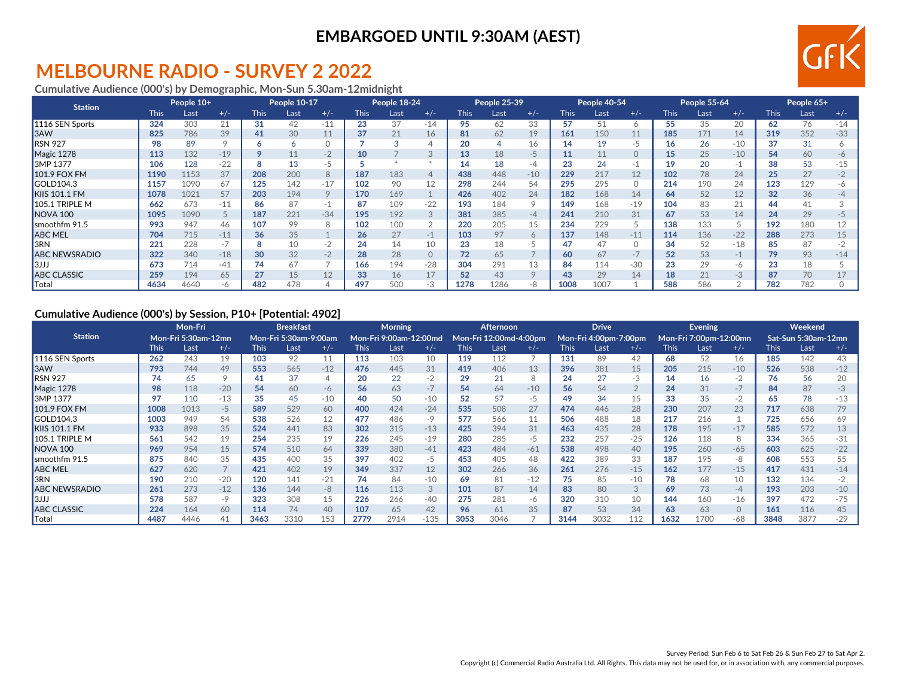# **MELBOURNE RADIO - SURVEY 2 2022**

### **Cumulative Audience (000's) by Demographic, Mon-Sun 5.30am-12midnight**

| <b>Station</b>       |             | People 10+ |                          |             | People 10-17 |          |             | People 18-24 |             |             | People 25-39 |         |             | People 40-54 |          |             | People 55-64 |       |             | People 65+ |       |
|----------------------|-------------|------------|--------------------------|-------------|--------------|----------|-------------|--------------|-------------|-------------|--------------|---------|-------------|--------------|----------|-------------|--------------|-------|-------------|------------|-------|
|                      | <b>This</b> | Last       | $+/-$                    | <b>This</b> | Last         | $+/-$    | <b>This</b> | Last         | $+/-$       | <b>This</b> | Last         | $+/-$   | <b>This</b> | Last         | $+/-$    | <b>This</b> | Last         | $+/-$ | <b>This</b> | Last       | $+/-$ |
| 1116 SEN Sports      | 324         | 303        | 21                       | 31          | 42           | $-11$    | 23          | 37           | $-14$       | 95          | 62           | 33      | 57          | 51           | $\circ$  | 55          | 35           | 20    | 62          | 76         | $-14$ |
| 3AW                  | 825         | 786        | 39                       | 41          | 30           | 11       | 37          | 21           | 16          | 81          | 62           | 19      | 161         | 150          | 11       | 185         | 171          | 14    | 319         | 352        | $-33$ |
| RSN 927              | 98          | 89         |                          | Ô           | <sup>n</sup> | $\Omega$ |             |              |             | 20          | 4            | 16      | 14          | 19           | -5       | 16          | 26           | $-10$ | 37          | 31         |       |
| Magic 1278           | 113         | 132        | $-19$                    | Q           | 11           | $-2$     |             |              | 3           | 13          | 18           | $-5$    | 11          | 11           | $\Omega$ | 15          | 25           | $-10$ | 54          | 60         | -6    |
| 3MP 1377             | 106         | 128        | $-22$                    | 8           | 13           | -5       |             |              |             | 14          | 18           | -4      | 23          | 24           | -1       | 19          | 20           | -1    | 38          | 53         | $-15$ |
| 101.9 FOX FM         | 1190        | 1153       | 37                       | 208         | 200          | 8        | 187         | 183          | 4           | 438         | 448          | $-10$   | 229         | 217          | 12       | 102         | 78           | 24    | 25          | 27         | $-2$  |
| GOLD104.3            | 1157        | 1090       | 67                       | 125         | 142          | $-17$    | 102         | 90           | 12          | 298         | 244          | 54      | 295         | 295          | $\Omega$ | 214         | 190          | 24    | 123         | 129        | -6    |
| KIIS 101.1 FM        | 1078        | 1021       | 57                       | 203         | 194          | $\circ$  | 170         | 169          |             | 426         | 402          | 24      | 182         | 168          | 14       | 64          | 52           | 12    | 32          | 36         |       |
| 105.1 TRIPLE M       | 662         | 673        | $-11$                    | 86          | 87           | -1       | 87          | 109          | $-22$       | 193         | 184          |         | 149         | 168          | $-19$    | 104         | 83           | 21    | 44          | 41         |       |
| <b>NOVA 100</b>      | 1095        | 1090       |                          | 187         | 221          | $-34$    | 195         | 192          | 3           | 381         | 385          | $-4$    | 241         | 210          | 31       | 67          | 53           | 14    | 24          | 29         |       |
| smoothfm 91.5        | 993         | 947        | 46                       | 107         | 99           | 8        | 102         | 100          | $\sim$<br>∠ | 220         | 205          | 15      | 234         | 229          |          | 138         | 133          |       | 192         | 180        | 12    |
| <b>ABC MEL</b>       | 704         | 715        | $-11$                    | 36          | 35           |          | 26          | 27           | $-1$        | 103         | 97           | 6       | 137         | 148          | $-11$    | 114         | 136          | $-22$ | 288         | 273        | 15    |
| 3RN                  | 221         | 228        | $\overline{\phantom{a}}$ | 8           |              | $-2$     | 24          | 14           | 10          | 23          | 18           |         | 47          | 47           | $\Omega$ | 34          | 52           | $-18$ | 85          | 87         |       |
| <b>ABC NEWSRADIO</b> | 322         | 340        | $-18$                    | 30          | 32           | $-2$     | 28          | 28           | 0           | 72          | 65           |         | 60          | 67           | $-7$     | 52          | 53           | $-1$  | 79          | 93         | $-14$ |
| 3JJJ                 | 673         | 714        | $-41$                    | 74          | 67           |          | 166         | 194          | $-28$       | 304         | 291          | 13      | 84          | 114          | $-30$    | 23          | 29           | -6    | 23          | 18         |       |
| <b>ABC CLASSIC</b>   | 259         | 194        | 65                       | 27          | 15           | 12       | 33          | 16           | 17          | 52          | 43           | $\circ$ | 43          | 29           | 14       | 18          | 21           | $-3$  | 87          | 70         | 17    |
| Total                | 4634        | 4640       | -6                       | 482         | 478          | ↵        | 497         | 500          | $-3$        | 1278        | 1286         | -8      | 1008        | 1007         |          | 588         | 586          |       | 782         | 782        |       |

#### **Cumulative Audience (000's) by Session, P10+ [Potential: 4902]**

|                      |      | Mon-Fri                    |       |             | <b>Breakfast</b>      |          |             | <b>Morning</b>         |        |      | Afternoon              |       |             | <b>Drive</b>          |                |       | <b>Evening</b>         |          |      | Weekend             |       |
|----------------------|------|----------------------------|-------|-------------|-----------------------|----------|-------------|------------------------|--------|------|------------------------|-------|-------------|-----------------------|----------------|-------|------------------------|----------|------|---------------------|-------|
| <b>Station</b>       |      | <b>Mon-Fri 5:30am-12mn</b> |       |             | Mon-Fri 5:30am-9:00am |          |             | Mon-Fri 9:00am-12:00md |        |      | Mon-Fri 12:00md-4:00pm |       |             | Mon-Fri 4:00pm-7:00pm |                |       | Mon-Fri 7:00pm-12:00mn |          |      | Sat-Sun 5:30am-12mn |       |
|                      | This | Last                       | $+/-$ | <b>This</b> | Last                  | $+/-$    | <b>This</b> | Last                   | $+/-$  | This | Last                   | $+/-$ | <b>This</b> | Last                  | $+/-$          | This. | Last                   | $+/-$    | This | Last                | $+/-$ |
| 1116 SEN Sports      | 262  | 243                        | 19    | 103         | 92                    | 11       | 113         | 103                    | 10     | 119  | 112                    |       | 131         | 89                    | 42             | 68    | 52                     | 16       | 185  | 142                 | 43    |
| 3AW                  | 793  | 744                        | 49    | 553         | 565                   | $-12$    | 476         | 445                    | 31     | 419  | 406                    | 13    | 396         | 381                   | 15             | 205   | 215                    | $-10$    | 526  | 538                 | $-12$ |
| <b>RSN 927</b>       | 74   | 65                         |       | 41          | 37                    | $\Delta$ | 20          | 22                     | $-2$   | 29   | 21                     |       | 24          | 27                    | $-3$           | 14    | 16                     | $-2$     | 76   | 56                  | 20    |
| Magic 1278           | 98   | 118                        | $-20$ | 54          | 60                    | -6       | 56          | 63                     | $-7$   | 54   | 64                     | $-10$ | 56          | 54                    | $\overline{2}$ | 24    | 31                     | $-7$     | 84   | 87                  | $-3$  |
| 3MP 1377             | 97   | 110                        | $-13$ | 35          | 45                    | $-10$    | 40          | 50                     | $-10$  | 52   | 57                     | -5    | 49          | 34                    | 15             | 33    | 35                     | $-2$     | 65   | 78                  | $-13$ |
| 101.9 FOX FM         | 1008 | 1013                       | $-5$  | 589         | 529                   | 60       | 400         | 424                    | $-24$  | 535  | 508                    | 27    | 474         | 446                   | 28             | 230   | 207                    | 23       | 717  | 638                 | 79    |
| GOLD104.3            | 1003 | 949                        | 54    | 538         | 526                   | 12       | 477         | 486                    | $-9$   | 577  | 566                    | 11    | 506         | 488                   | 18             | 217   | 216                    |          | 725  | 656                 | 69    |
| KIIS 101.1 FM        | 933  | 898                        | 35    | 524         | 441                   | 83       | 302         | 315                    | $-13$  | 425  | 394                    | 31    | 463         | 435                   | 28             | 178   | 195                    | $-17$    | 585  | 572                 | 13    |
| 105.1 TRIPLE M       | 561  | 542                        | 19    | 254         | 235                   | 19       | 226         | 245                    | $-19$  | 280  | 285                    | $-5$  | 232         | 257                   | $-25$          | 126   | 118                    | 8        | 334  | 365                 | $-31$ |
| <b>NOVA 100</b>      | 969  | 954                        | 15    | 574         | 510                   | 64       | 339         | 380                    | $-41$  | 423  | 484                    | $-61$ | 538         | 498                   | 40             | 195   | 260                    | $-65$    | 603  | 625                 | $-22$ |
| smoothfm 91.5        | 875  | 840                        | 35    | 435         | 400                   | 35       | 397         | 402                    | $-5$   | 453  | 405                    | 48    | 422         | 389                   | 33             | 187   | 195                    | -8       | 608  | 553                 | 55    |
| <b>ABC MEL</b>       | 627  | 620                        |       | 421         | 402                   | 19       | 349         | 337                    | 12     | 302  | 266                    | 36    | 261         | 276                   | $-15$          | 162   | 177                    | $-15$    | 417  | 431                 | $-14$ |
| 3RN                  | 190  | 210                        | $-20$ | 120         | 141                   | $-21$    | 74          | 84                     | $-10$  | 69   | 81                     | $-12$ | 75          | 85                    | $-10$          | 78    | 68                     | 10       | 132  | 134                 | $-2$  |
| <b>ABC NEWSRADIO</b> | 261  | 273                        | $-12$ | 136         | 144                   | $-8$     | 116         | 113                    | 3      | 101  | 87                     | 14    | 83          | 80                    | 3              | 69    | 73                     | $-4$     | 193  | 203                 | $-10$ |
| 3JJJ                 | 578  | 587                        | -9    | 323         | 308                   | 15       | 226         | 266                    | $-40$  | 275  | 281                    | -6    | 320         | 310                   | 10             | 144   | 160                    | $-16$    | 397  | 472                 | $-75$ |
| <b>ABC CLASSIC</b>   | 224  | 164                        | 60    | 114         | 74                    | 40       | 107         | 65                     | 42     | 96   | 61                     | 35    | 87          | 53                    | 34             | 63    | 63                     | $\Omega$ | 161  | 116                 | 45    |
| Total                | 4487 | 4446                       | 41    | 3463        | 3310                  | 153      | 2779        | 2914                   | $-135$ | 3053 | 3046                   |       | 3144        | 3032                  | 112            | 1632  | 1700                   | $-68$    | 3848 | 3877                | $-29$ |

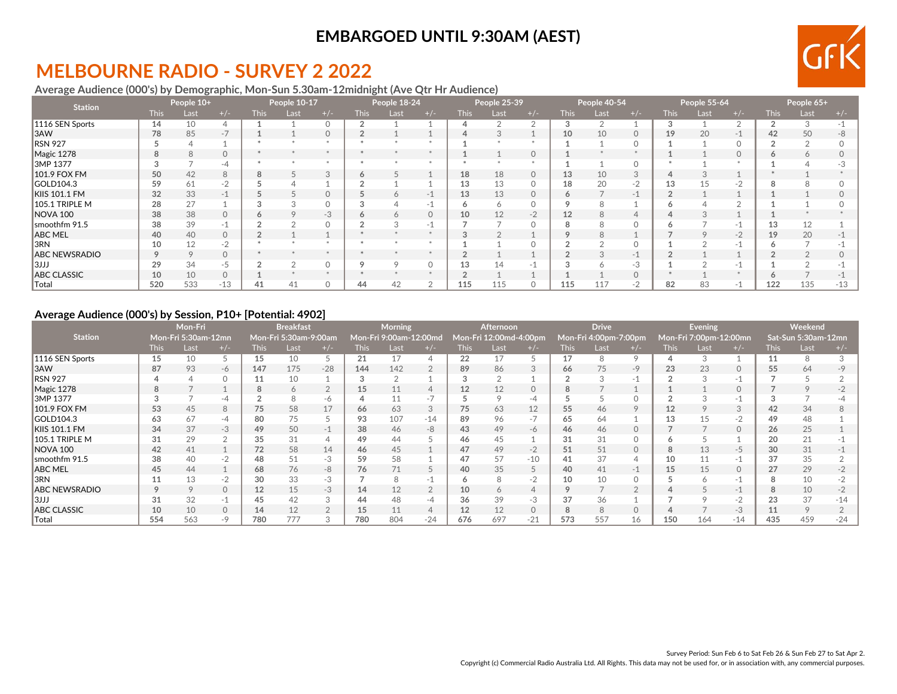# **MELBOURNE RADIO - SURVEY 2 2022**

### **Average Audience (000's) by Demographic, Mon-Sun 5.30am-12midnight (Ave Qtr Hr Audience)**

| <b>Station</b>       |             | People 10+ |          |             | People 10-17 |          |             | People 18-24 |          |             | People 25-39 |          |             | People 40-54  |          |             | People 55-64 |         |        | People 65+ |       |
|----------------------|-------------|------------|----------|-------------|--------------|----------|-------------|--------------|----------|-------------|--------------|----------|-------------|---------------|----------|-------------|--------------|---------|--------|------------|-------|
|                      | <b>This</b> | Last       | $+/-$    | <b>This</b> | Last         | $+/-$    | <b>This</b> | Last         | $+/-$    | <b>This</b> | Last         | $+/-$    | <b>This</b> | Last          | $+/-$    | <b>This</b> | Last         | $+/-$   | This l | Last       | $+/-$ |
| 1116 SEN Sports      | 14          | 10         |          |             |              | $\Omega$ |             |              |          |             |              |          | 3           |               |          |             |              |         |        | 3          |       |
| 3AW                  | 78          | 85         | $-7$     |             |              | $\circ$  |             |              |          |             | J.           |          | 10          | 10            | $\circ$  | 19          | 20           | $-1$    | 42     | 50         | -8    |
| RSN 927              |             |            |          |             |              |          |             |              |          |             |              |          |             |               | $\Omega$ |             |              |         |        |            |       |
| Magic 1278           | 8           | 8          | $\circ$  |             |              |          |             |              |          |             |              | $\circ$  |             |               |          |             |              | $\circ$ |        | 6          |       |
| 3MP 1377             |             |            | -4       |             |              |          |             |              |          |             |              |          |             |               | $\Omega$ |             |              |         |        |            |       |
| 101.9 FOX FM         | 50          | 42         | 8        | 8           |              | 3        |             |              |          | 18          | 18           | $\circ$  | 13          | 10            | 3        |             |              |         |        |            |       |
| GOLD104.3            | 59          | 61         | $-2$     |             |              |          |             |              |          | 13          | 13           |          | 18          | 20            | $-2$     | 13          |              |         |        |            |       |
| KIIS 101.1 FM        | 32          | 33         | $-4$     |             |              | $\Omega$ |             |              | $-1$     | 13          | 13           | $\Omega$ | 6           |               | $-1$     |             |              |         |        |            |       |
| 105.1 TRIPLE M       | 28          | 27         |          |             |              |          |             |              |          |             | <sup>6</sup> |          |             |               |          |             |              |         |        |            |       |
| NOVA 100             | 38          | 38         |          | Ô           |              | $-3$     |             |              | $\Omega$ | 10          | 12           | $-2$     | 12          | $\mathcal{R}$ | $\Delta$ |             |              |         |        |            |       |
| smoothfm 91.5        | 38          | 39         |          | $\Omega$    |              | $\Omega$ |             |              | $-1$     |             |              |          | 8           | $\mathsf{R}$  | $\Omega$ |             |              |         | 13     | 12         |       |
| <b>ABC MEL</b>       | 40          | 40         | $\Omega$ |             |              |          |             |              |          |             |              |          | 9           | 8             |          |             |              | $-2$    | 19     | 20         |       |
| 3RN                  | 10          | 12         | $-2$     |             |              |          |             |              |          |             |              |          |             |               | $\Omega$ |             |              |         |        |            |       |
| <b>ABC NEWSRADIO</b> | Q           | 9          | $\Omega$ |             |              |          |             |              |          |             |              |          |             |               | $-1$     |             |              |         |        |            |       |
| 3JJJ                 | 29          | 34         | $-5$     |             |              | $\Omega$ |             |              |          | 13          | 14           |          |             |               | -3       |             |              |         |        |            |       |
| <b>ABC CLASSIC</b>   | 10          | 10         | $\Omega$ |             |              |          |             |              |          |             |              |          |             |               | $\Omega$ |             |              |         |        |            |       |
| Total                | 520         | 533        | $-13$    | 41          | 41           | $\Omega$ | 44          |              |          | 115         | 115          |          | 115         | 117           | - 2      | 82          | 83           | $-1$    | 122    | 135        | $-13$ |

#### **Average Audience (000's) by Session, P10+ [Potential: 4902]**

|                      |             | <b>Mon-Fri</b>      |                          |                | <b>Breakfast</b>      |       |             | <b>Morning</b>         |               |      | <b>Afternoon</b>       |       |             | <b>Drive</b>          |          |             | <b>Evening</b>         |          |             | Weekend             |       |
|----------------------|-------------|---------------------|--------------------------|----------------|-----------------------|-------|-------------|------------------------|---------------|------|------------------------|-------|-------------|-----------------------|----------|-------------|------------------------|----------|-------------|---------------------|-------|
| <b>Station</b>       |             | Mon-Fri 5:30am-12mn |                          |                | Mon-Fri 5:30am-9:00am |       |             | Mon-Fri 9:00am-12:00md |               |      | Mon-Fri 12:00md-4:00pm |       |             | Mon-Fri 4:00pm-7:00pm |          |             | Mon-Fri 7:00pm-12:00mn |          |             | Sat-Sun 5:30am-12mn |       |
|                      | <b>This</b> | Last                | $+/-$                    | <b>This</b>    | Last                  | $+/-$ | <b>This</b> | Last                   | $+/-$         | This | Last                   | $+/-$ | <b>This</b> | Last                  |          | <b>This</b> | Last                   | $+/-$    | <b>This</b> | Last                | $+/-$ |
| 1116 SEN Sports      | 15          | 10                  |                          | 15             | 10                    | ć     | 21          |                        | 4             | 22   | 17                     |       | 17          | 8                     | O        |             |                        |          |             | 8                   |       |
| 3AW                  | 87          | 93                  | -6                       | 147            | 175                   | $-28$ | 144         | 142                    | 2             | 89   | 86                     | 3     | 66          | 75                    | $-9$     | 23          | 23                     | 0        | 55          | 64                  |       |
| <b>RSN 927</b>       |             |                     |                          | 11             | 10                    |       |             |                        |               |      | $\Omega$               |       |             |                       | -1       |             |                        | $-1$     |             |                     |       |
| Magic 1278           | 8           |                     |                          | 8              | 6                     |       | 15          | 11                     | 4             |      | 12                     |       | 8           |                       |          |             |                        | $\Omega$ |             |                     |       |
| 3MP 1377             |             |                     | -4                       | $\overline{2}$ |                       | -6    |             |                        | $-7$          |      | 9                      | -4    |             |                       |          |             |                        | $-1$     |             |                     |       |
| 101.9 FOX FM         | 53          | 45                  | 8                        | 75             | 58                    | 17    | 66          | 63                     | 3             | 75   | 63                     | 12    | 55          | 46                    | $\circ$  | 12          |                        | 3        | 42          | 34                  |       |
| <b>GOLD104.3</b>     | 63          | 67                  | -4                       | 80             | 75                    |       | 93          | 107                    | $-14$         | 89   | 96                     | $-1$  | 65          | 64                    |          | 13          |                        | $-2$     | 49          | 48                  |       |
| KIIS 101.1 FM        | 34          | 37                  | $-3$                     | 49             | 50                    | $-1$  | 38          | 46                     | -8            | 43   | 49                     | -6    | 46          | 46                    | $\circ$  |             |                        | $\circ$  | 26          | 25                  |       |
| 105.1 TRIPLE M       | 31          | 29                  |                          | 35             | 31                    |       | 49          | 44                     |               | 46   | 45                     |       | 31          | 31                    |          |             |                        |          | 20          | 21                  |       |
| <b>NOVA 100</b>      | 42          | 41                  |                          | 72             | 58                    | 14    | 46          | 45                     |               | 47   | 49                     | $-2$  | 51          | 51                    | $\Omega$ |             | 13                     | $-5$     | 30          | 31                  |       |
| Ismoothfm 91.5       | 38          | 40                  |                          | 48             | 51                    | $-3$  | 59          | 58                     |               | 47   | 57                     | $-10$ | 41          | 37                    |          | 10          |                        | $-1$     | 37          | 35                  |       |
| ABC MEL              | 45          | 44                  |                          | 68             | 76                    | $-8$  | 76          |                        | $\mathcal{L}$ | 40   | 35                     |       | 40          | 41                    | -1       | 15          | 15                     | $\Omega$ | 27          | 29                  |       |
| I3RN                 | 11          | 13                  | $-2$                     | 30             | 33                    | $-3$  |             |                        | $-1$          | o    | 8                      | $-2$  | 10          | 10                    | $\Omega$ |             |                        | $-1$     |             | 10                  |       |
| <b>ABC NEWSRADIO</b> |             | Q                   | $\circ$                  | 12             | 15                    | $-3$  | 14          |                        | 2             | 10   | 6                      |       | 9           |                       |          |             |                        | $-1$     |             | 10                  |       |
| 3JJJ                 | 31          | 32                  | $\overline{\phantom{a}}$ | 45             | 42                    | 3     | 44          |                        | -4            | 36   | 39                     | -3    | 37          | 36                    |          |             |                        | $-2$     |             | 37                  | $-14$ |
| <b>ABC CLASSIC</b>   | 10          | 10                  | $\circ$                  | 14             | 12                    |       | 15          |                        | 4             |      | 12                     |       | 8           | $\mathcal{R}$         | $\cap$   |             |                        | $-3$     |             | 9                   |       |
| $\sf{Total}$         | 554         | 563                 | $-Q$                     | 780            | 777                   |       | 780         | 804                    | $-24$         | 676  | 697                    | $-21$ | 573         | 557                   | 16       | 150         | 164                    | $-14$    | 435         | 459                 | $-24$ |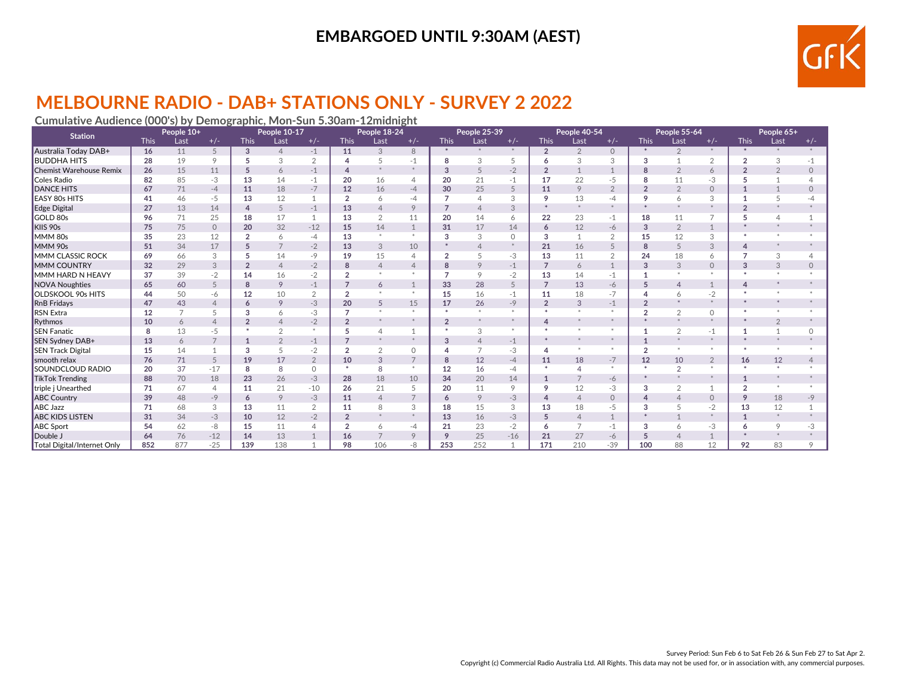

# **MELBOURNE RADIO - DAB+ STATIONS ONLY - SURVEY 2 2022**

### **Cumulative Audience (000's) by Demographic, Mon-Sun 5.30am-12midnight**

| <b>Station</b>              |             | People 10+     |                |                | People 10-17   |                |                | People 18-24   |                |                | People 25-39   |          |                | People 40-54   |                |                          | People 55-64   |                |                | People 65+     |          |
|-----------------------------|-------------|----------------|----------------|----------------|----------------|----------------|----------------|----------------|----------------|----------------|----------------|----------|----------------|----------------|----------------|--------------------------|----------------|----------------|----------------|----------------|----------|
|                             | <b>This</b> | Last           | $+/-$          | <b>This</b>    | Last           | $+/-$          | <b>This</b>    | Last           | $+/-$          | <b>This</b>    | Last           | $+/-$    | <b>This</b>    | Last           | $+/-$          | <b>This</b>              | Last           | $+/-$          | <b>This</b>    | Last           | $+/-$    |
| Australia Today DAB+        | 16          | 11             | 5              | 3              | $\overline{4}$ | $-1$           | 11             | 3              | 8              | $*$            |                | $*$      | $\overline{2}$ | $\overline{2}$ | $\circ$        | $\ast$                   | $\overline{2}$ | $*$            |                |                |          |
| <b>BUDDHA HITS</b>          | 28          | 19             | 9              | 5              | 3              | 2              | $\Delta$       |                | $-1$           | 8              | 3              | 5        | 6              | 3              | 3              | 3                        |                | $\overline{2}$ | $\overline{2}$ | 3              | $-1$     |
| Chemist Warehouse Remix     | 26          | 15             | 11             | 5              | 6              | $-1$           | $\Delta$       |                | $*$            | 3              | 5              | $-2$     | $\overline{2}$ |                |                | 8                        | $\overline{2}$ | 6              | $\overline{2}$ | $\overline{2}$ | $\Omega$ |
| Coles Radio                 | 82          | 85             | $-3$           | 13             | 14             | $-1$           | 20             | 16             | 4              | 20             | 21             | $-1$     | 17             | 22             | $-5$           | 8                        | 11             | -3             | 5              |                |          |
| <b>DANCE HITS</b>           | 67          | 71             | $-4$           | 11             | 18             | $-7$           | 12             | 16             | $-4$           | 30             | 25             | 5        | 11             | 9              | $\overline{2}$ | $\overline{2}$           | $\overline{2}$ | $\circ$        |                | $\mathbf{1}$   | $\Omega$ |
| <b>EASY 80s HITS</b>        | 41          | 46             | $-5$           | 13             | 12             | $\mathbf{1}$   | $\overline{2}$ | 6              | -4             | 7              | $\overline{4}$ | 3        | 9              | 13             | -4             | 9                        | $\overline{6}$ | 3              |                | 5              |          |
| Edge Digital                | 27          | 13             | 14             | $\overline{4}$ | 5              | $-1$           | 13             | $\Delta$       | 9              | $\overline{7}$ | $\overline{4}$ | 3        | $\star$        | $\ast$         | $\star$        |                          |                | $\ast$         | $\mathcal{D}$  |                |          |
| GOLD 80s                    | 96          | 71             | 25             | 18             | 17             |                | 13             | $\overline{2}$ | 11             | 20             | 14             | 6        | 22             | 23             | $-1$           | 18                       | 11             | $\overline{7}$ |                | $\overline{4}$ |          |
| KIIS 90s                    | 75          | 75             | $\Omega$       | 20             | 32             | $-12$          | 15             | 14             | $\mathbf{1}$   | 31             | 17             | 14       | 6              | 12             | $-6$           | 3                        | $\overline{2}$ | $\mathbf{1}$   |                |                |          |
| MMM 80s                     | 35          | 23             | 12             | $\overline{2}$ | 6              | $-4$           | 13             |                | $*$            | 3              | 3              | $\Omega$ | 3              |                | 2              | 15                       | 12             | 3              |                |                |          |
| MMM 90s                     | 51          | 34             | 17             | 5              | $\overline{7}$ | $-2$           | 13             | 3              | 10             |                | $\overline{4}$ |          | 21             | 16             | 5              | 8                        | 5              | 3              |                |                |          |
| <b>IMMM CLASSIC ROCK</b>    | 69          | 66             | 3              | 5              | 14             | $-9$           | 19             | 15             | $\overline{4}$ | $\overline{2}$ | 5              | $-3$     | 13             | 11             | $\overline{2}$ | 24                       | 18             | 6              | $\overline{ }$ | 3              |          |
| <b>MMM COUNTRY</b>          | 32          | 29             | 3              | $\overline{2}$ | $\Delta$       | $-2$           | 8              | $\Delta$       | 4              | 8              | 9              | $-1$     | $\overline{7}$ | 6              | $\mathbf{1}$   | 3                        | 3              | $\circ$        | 3              | 3              | $\Omega$ |
| MMM HARD N HEAVY            | 37          | 39             | $-2$           | 14             | 16             | $-2$           |                |                |                | $\overline{7}$ | 9              | $-2$     | 13             | 14             | $-1$           |                          |                |                |                |                |          |
| NOVA Noughties              | 65          | 60             | 5              | 8              | 9              | $-1$           |                | 6              | $\mathbf{1}$   | 33             | 28             | 5        | $\overline{7}$ | 13             | $-6$           | 5                        | $\overline{4}$ | $\mathbf{1}$   |                |                |          |
| <b>OLDSKOOL 90s HITS</b>    | 44          | 50             | -6             | 12             | 10             | 2              | $\overline{2}$ |                | $*$            | 15             | 16             | $-1$     | 11             | 18             | $-7$           |                          | 6              | $-2$           |                |                |          |
| RnB Fridays                 | 47          | 43             | $\overline{4}$ | 6              | 9              | $-3$           | 20             | 5              | 15             | 17             | 26             | $-9$     | $\overline{2}$ | 3              | $-1$           | $\overline{\phantom{a}}$ |                | $\ast$         |                |                |          |
| RSN Extra                   | 12          | $\overline{7}$ | 5              | 3              | 6              | $-3$           | $\overline{7}$ |                | $\ast$         | $\ast$         | $*$            | $\infty$ | $\star$        | $\infty$       | $\ast$         | $\overline{a}$           | $\overline{2}$ | $\circ$        |                |                |          |
| Rythmos                     | 10          | 6              | $\overline{4}$ | $\overline{2}$ |                | $-2$           | $\overline{2}$ |                | $*$            | $\overline{2}$ | $*$            |          | $\Delta$       | $\ast$         |                |                          |                | $\ast$         |                | $\overline{2}$ |          |
| <b>SEN Fanatic</b>          | 8           | 13             | $-5$           |                | $\overline{2}$ | $\ast$         |                |                |                |                | 3              | $\ast$   | $\star$        |                | $\ast$         |                          | $\Omega$       | $-1$           |                |                |          |
| SEN Sydney DAB+             | 13          | 6              | $\overline{7}$ | $\mathbf{1}$   | $\overline{2}$ | $-1$           | $\overline{7}$ |                | $\ast$         | 3              | $\overline{4}$ | $-1$     | $\ast$         | $\ast$         | $\ast$         |                          |                | $\ast$         |                |                |          |
| <b>SEN Track Digital</b>    | 15          | 14             |                | 3              | 5              | $-2$           | $\overline{2}$ | $\overline{2}$ | $\circ$        |                | $\overline{7}$ | $-3$     | $\overline{4}$ | $\ast$         | $\ast$         | $\overline{2}$           |                | $*$            |                | $\pm$          |          |
| smooth relax                | 76          | 71             | 5              | 19             | 17             | $\overline{2}$ | 10             | 3              | $\overline{7}$ | 8              | 12             | $-4$     | 11             | 18             | $-7$           | 12                       | 10             | $\overline{2}$ | 16             | 12             |          |
| <b>SOUNDCLOUD RADIO</b>     | 20          | 37             | $-17$          | 8              | 8              | $\circ$        | $\ast$         | 8              | $*$            | 12             | 16             | $-4$     | $\ast$         |                | $\ast$         | $\ast$                   | $\overline{2}$ | $\ast$         | $\mathbf{r}$   | $\pm$          |          |
| <b>TikTok Trending</b>      | 88          | 70             | 18             | 23             | 26             | $-3$           | 28             | 18             | 10             | 34             | 20             | 14       | $\mathbf{1}$   | 7              | $-6$           |                          |                | $*$            | $\mathbf{1}$   | $*$            |          |
| triple j Unearthed          | 71          | 67             | 4              | 11             | 21             | $-10$          | 26             | 21             | 5              | 20             | 11             | 9        | 9              | 12             | -3             | 3                        | $\overline{2}$ | 1              | $\overline{2}$ |                |          |
| <b>ABC Country</b>          | 39          | 48             | $-9$           | 6              | 9              | $-3$           | 11             | $\overline{4}$ | $\overline{7}$ | 6              | 9              | $-3$     | $\overline{4}$ | $\overline{4}$ | $\circ$        | Δ                        | $\overline{4}$ | $\circ$        | 9              | 18             | $-9$     |
| ABC Jazz                    | 71          | 68             | 3              | 13             | 11             | $\overline{2}$ | 11             | 8              | 3              | 18             | 15             | 3        | 13             | 18             | $-5$           | 3                        |                | $-2$           | 13             | 12             |          |
| <b>ABC KIDS LISTEN</b>      | 31          | 34             | $-3$           | 10             | 12             | $-2$           | $\overline{2}$ |                | $*$            | 13             | 16             | $-3$     | 5              | $\overline{4}$ | $\mathbf{1}$   |                          |                | $*$            |                | $\ast$         |          |
| ABC Sport                   | 54          | 62             | -8             | 15             | 11             | $\overline{4}$ | $\overline{2}$ | 6              | -4             | 21             | 23             | $-2$     | 6              | $\overline{7}$ | $-1$           | 3                        | 6              | -3             |                | 9              | -3       |
| Double J                    | 64          | 76             | $-12$          | 14             | 13             |                | 16             |                | 9              | 9              | 25             | $-16$    | 21             | 27             | $-6$           | 5                        | $\overline{4}$ |                |                | $*$            |          |
| Total Digital/Internet Only | 852         | 877            | $-25$          | 139            | 138            |                | 98             | 106            | -8             | 253            | 252            | -1       | 171            | 210            | $-39$          | 100                      | 88             | 12             | 92             | 83             | $\Omega$ |